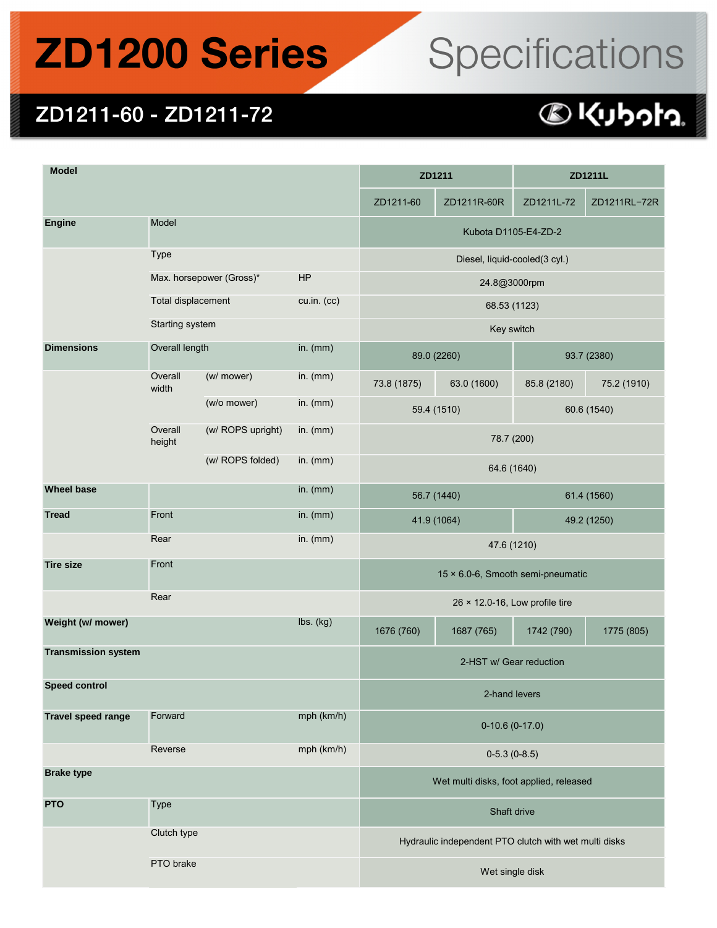## **ZD1200 Series**

# Specifications

#### ZD1211-60 - ZD1211-72

#### 

| <b>Model</b>               |                                         |                   |             | ZD1211                                                |             | ZD1211L     |              |  |
|----------------------------|-----------------------------------------|-------------------|-------------|-------------------------------------------------------|-------------|-------------|--------------|--|
|                            |                                         |                   |             | ZD1211-60                                             | ZD1211R-60R | ZD1211L-72  | ZD1211RL-72R |  |
| <b>Engine</b>              | Model                                   |                   |             | Kubota D1105-E4-ZD-2                                  |             |             |              |  |
|                            | <b>Type</b>                             |                   |             | Diesel, liquid-cooled(3 cyl.)                         |             |             |              |  |
|                            | Max. horsepower (Gross)*                |                   | HP          | 24.8@3000rpm                                          |             |             |              |  |
|                            | Total displacement                      |                   | cu.in. (cc) | 68.53 (1123)                                          |             |             |              |  |
|                            | Starting system                         |                   |             | Key switch                                            |             |             |              |  |
| <b>Dimensions</b>          | Overall length                          |                   | in. $(mm)$  | 89.0 (2260)                                           |             | 93.7 (2380) |              |  |
|                            | Overall<br>width                        | (w/ mower)        | in. $(mm)$  | 73.8 (1875)                                           | 63.0 (1600) | 85.8 (2180) | 75.2 (1910)  |  |
|                            |                                         | (w/o mower)       | in. $(mm)$  | 60.6 (1540)<br>59.4 (1510)                            |             |             |              |  |
|                            | Overall<br>height                       | (w/ ROPS upright) | in. $(mm)$  | 78.7 (200)                                            |             |             |              |  |
|                            |                                         | (w/ ROPS folded)  | in. $(mm)$  | 64.6 (1640)                                           |             |             |              |  |
| <b>Wheel base</b>          |                                         |                   | in. $(mm)$  | 56.7 (1440)                                           |             | 61.4 (1560) |              |  |
| <b>Tread</b>               | Front                                   |                   | in. $(mm)$  | 41.9 (1064)                                           |             | 49.2 (1250) |              |  |
|                            | Rear                                    |                   | in. $(mm)$  | 47.6 (1210)                                           |             |             |              |  |
| <b>Tire size</b>           | Front                                   |                   |             | 15 × 6.0-6, Smooth semi-pneumatic                     |             |             |              |  |
|                            | Rear                                    |                   |             | 26 × 12.0-16, Low profile tire                        |             |             |              |  |
| Weight (w/ mower)          |                                         |                   | lbs. (kg)   | 1676 (760)                                            | 1687 (765)  | 1742 (790)  | 1775 (805)   |  |
| <b>Transmission system</b> |                                         |                   |             | 2-HST w/ Gear reduction                               |             |             |              |  |
| <b>Speed control</b>       |                                         |                   |             | 2-hand levers                                         |             |             |              |  |
| <b>Travel speed range</b>  | Forward                                 |                   | mph (km/h)  | $0-10.6(0-17.0)$                                      |             |             |              |  |
|                            | Reverse                                 |                   | mph (km/h)  | $0-5.3(0-8.5)$                                        |             |             |              |  |
| <b>Brake type</b>          |                                         |                   |             | Wet multi disks, foot applied, released               |             |             |              |  |
| <b>PTO</b>                 | <b>Type</b><br>Clutch type<br>PTO brake |                   |             | Shaft drive                                           |             |             |              |  |
|                            |                                         |                   |             | Hydraulic independent PTO clutch with wet multi disks |             |             |              |  |
|                            |                                         |                   |             | Wet single disk                                       |             |             |              |  |